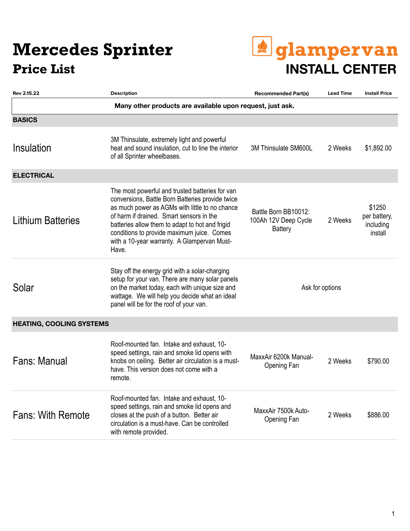### **Mercedes Sprinter**



| Rev 2.15.22                     | <b>Description</b>                                                                                                                                                                                                                                                                                                                                         | <b>Recommended Part(s)</b>                                     | <b>Lead Time</b> | <b>Install Price</b>                           |
|---------------------------------|------------------------------------------------------------------------------------------------------------------------------------------------------------------------------------------------------------------------------------------------------------------------------------------------------------------------------------------------------------|----------------------------------------------------------------|------------------|------------------------------------------------|
|                                 | Many other products are available upon request, just ask.                                                                                                                                                                                                                                                                                                  |                                                                |                  |                                                |
| <b>BASICS</b>                   |                                                                                                                                                                                                                                                                                                                                                            |                                                                |                  |                                                |
| Insulation                      | 3M Thinsulate, extremely light and powerful<br>heat and sound insulation, cut to line the interior<br>of all Sprinter wheelbases.                                                                                                                                                                                                                          | 3M Thinsulate SM600L                                           | 2 Weeks          | \$1,892.00                                     |
| <b>ELECTRICAL</b>               |                                                                                                                                                                                                                                                                                                                                                            |                                                                |                  |                                                |
| <b>Lithium Batteries</b>        | The most powerful and trusted batteries for van<br>conversions, Battle Born Batteries provide twice<br>as much power as AGMs with little to no chance<br>of harm if drained. Smart sensors in the<br>batteries allow them to adapt to hot and frigid<br>conditions to provide maximum juice. Comes<br>with a 10-year warranty. A Glampervan Must-<br>Have. | Battle Born BB10012:<br>100Ah 12V Deep Cycle<br><b>Battery</b> | 2 Weeks          | \$1250<br>per battery,<br>including<br>install |
| Solar                           | Stay off the energy grid with a solar-charging<br>setup for your van. There are many solar panels<br>on the market today, each with unique size and<br>wattage. We will help you decide what an ideal<br>panel will be for the roof of your van.                                                                                                           | Ask for options                                                |                  |                                                |
| <b>HEATING, COOLING SYSTEMS</b> |                                                                                                                                                                                                                                                                                                                                                            |                                                                |                  |                                                |
| Fans: Manual                    | Roof-mounted fan. Intake and exhaust, 10-<br>speed settings, rain and smoke lid opens with<br>knobs on ceiling. Better air circulation is a must-<br>have. This version does not come with a<br>remote.                                                                                                                                                    | MaxxAir 6200k Manual-<br>Opening Fan                           | 2 Weeks          | \$790.00                                       |
| <b>Fans: With Remote</b>        | Roof-mounted fan. Intake and exhaust, 10-<br>speed settings, rain and smoke lid opens and<br>closes at the push of a button. Better air<br>circulation is a must-have. Can be controlled<br>with remote provided.                                                                                                                                          | MaxxAir 7500k Auto-<br>Opening Fan                             | 2 Weeks          | \$886.00                                       |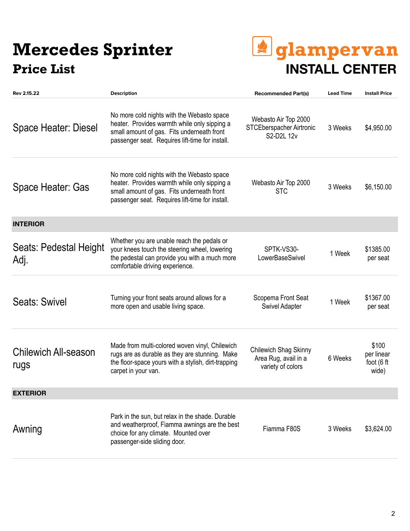### **Mercedes Sprinter Price List INSTALL CENTER**

# *<u>dglampervan</u>*

| Rev 2.15.22                         | <b>Description</b>                                                                                                                                                                          | <b>Recommended Part(s)</b>                                         | <b>Lead Time</b> | <b>Install Price</b>                       |
|-------------------------------------|---------------------------------------------------------------------------------------------------------------------------------------------------------------------------------------------|--------------------------------------------------------------------|------------------|--------------------------------------------|
| Space Heater: Diesel                | No more cold nights with the Webasto space<br>heater. Provides warmth while only sipping a<br>small amount of gas. Fits underneath front<br>passenger seat. Requires lift-time for install. | Webasto Air Top 2000<br>STCEberspacher Airtronic<br>S2-D2L 12v     | 3 Weeks          | \$4,950.00                                 |
| Space Heater: Gas                   | No more cold nights with the Webasto space<br>heater. Provides warmth while only sipping a<br>small amount of gas. Fits underneath front<br>passenger seat. Requires lift-time for install. | Webasto Air Top 2000<br><b>STC</b>                                 | 3 Weeks          | \$6,150.00                                 |
| <b>INTERIOR</b>                     |                                                                                                                                                                                             |                                                                    |                  |                                            |
| Seats: Pedestal Height<br>Adj.      | Whether you are unable reach the pedals or<br>your knees touch the steering wheel, lowering<br>the pedestal can provide you with a much more<br>comfortable driving experience.             | SPTK-VS30-<br>LowerBaseSwivel                                      | 1 Week           | \$1385.00<br>per seat                      |
| Seats: Swivel                       | Turning your front seats around allows for a<br>more open and usable living space.                                                                                                          | Scopema Front Seat<br><b>Swivel Adapter</b>                        | 1 Week           | \$1367.00<br>per seat                      |
| <b>Chilewich All-season</b><br>rugs | Made from multi-colored woven vinyl, Chilewich<br>rugs are as durable as they are stunning. Make<br>the floor-space yours with a stylish, dirt-trapping<br>carpet in your van.              | Chilewich Shag Skinny<br>Area Rug, avail in a<br>variety of colors | 6 Weeks          | \$100<br>per linear<br>foot (6 ft<br>wide) |
| <b>EXTERIOR</b>                     |                                                                                                                                                                                             |                                                                    |                  |                                            |
| Awning                              | Park in the sun, but relax in the shade. Durable<br>and weatherproof, Fiamma awnings are the best<br>choice for any climate. Mounted over<br>passenger-side sliding door.                   | Fiamma F80S                                                        | 3 Weeks          | \$3,624.00                                 |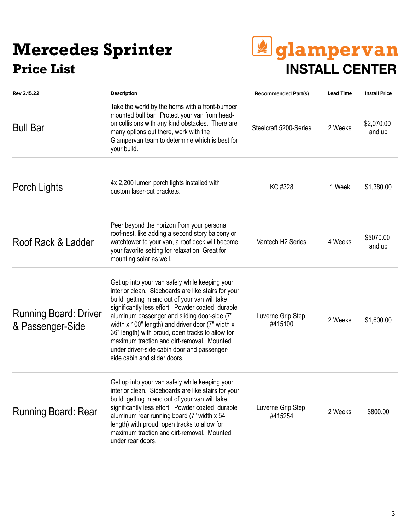## **Mercedes Sprinter**



| Rev 2.15.22                                      | <b>Description</b>                                                                                                                                                                                                                                                                                                                                                                                                                                                                                 | <b>Recommended Part(s)</b>    | <b>Lead Time</b> | <b>Install Price</b> |
|--------------------------------------------------|----------------------------------------------------------------------------------------------------------------------------------------------------------------------------------------------------------------------------------------------------------------------------------------------------------------------------------------------------------------------------------------------------------------------------------------------------------------------------------------------------|-------------------------------|------------------|----------------------|
| <b>Bull Bar</b>                                  | Take the world by the horns with a front-bumper<br>mounted bull bar. Protect your van from head-<br>on collisions with any kind obstacles. There are<br>many options out there, work with the<br>Glampervan team to determine which is best for<br>your build.                                                                                                                                                                                                                                     | Steelcraft 5200-Series        | 2 Weeks          | \$2,070.00<br>and up |
| Porch Lights                                     | 4x 2,200 lumen porch lights installed with<br>custom laser-cut brackets.                                                                                                                                                                                                                                                                                                                                                                                                                           | KC #328                       | 1 Week           | \$1,380.00           |
| Roof Rack & Ladder                               | Peer beyond the horizon from your personal<br>roof-nest, like adding a second story balcony or<br>watchtower to your van, a roof deck will become<br>your favorite setting for relaxation. Great for<br>mounting solar as well.                                                                                                                                                                                                                                                                    | Vantech H <sub>2</sub> Series | 4 Weeks          | \$5070.00<br>and up  |
| <b>Running Board: Driver</b><br>& Passenger-Side | Get up into your van safely while keeping your<br>interior clean. Sideboards are like stairs for your<br>build, getting in and out of your van will take<br>significantly less effort. Powder coated, durable<br>aluminum passenger and sliding door-side (7"<br>width x 100" length) and driver door (7" width x<br>36" length) with proud, open tracks to allow for<br>maximum traction and dirt-removal. Mounted<br>under driver-side cabin door and passenger-<br>side cabin and slider doors. | Luverne Grip Step<br>#415100  | 2 Weeks          | \$1,600.00           |
| Running Board: Rear                              | Get up into your van safely while keeping your<br>interior clean. Sideboards are like stairs for your<br>build, getting in and out of your van will take<br>significantly less effort. Powder coated, durable<br>aluminum rear running board (7" width x 54"<br>length) with proud, open tracks to allow for<br>maximum traction and dirt-removal. Mounted<br>under rear doors.                                                                                                                    | Luverne Grip Step<br>#415254  | 2 Weeks          | \$800.00             |